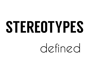## STEREOTYPES

defined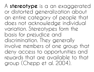A **stereotype** is a an exaggerated or distorted generalization about an entire category of people that does not acknowledge individual variation. Stereotypes form the basis for prejudice and discrimination. They generally involve members of one group that deny access to opportunities and rewards that are available to that group (Chepp et al. 2004).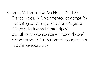Chepp, V., Dean, P. & Andrist, L. (2012). Stereotypes: A fundamental concept for teaching sociology. *The Sociological Cinema.* Retrieved from http:// www.thesociologicalcinema.com/blog/ stereotypes-a-fundamental-concept-forteaching-sociology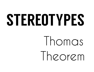## STEREOTYPES

## Ihomas Ineorem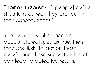**Thomas theorem**: "if [people] define situations as real, they are real in their consequences."

In other words, when people accept stereotypes as true, then they are likely to act on these beliefs, and these subjective beliefs can lead to objective results.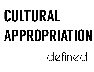# CULTURAL APPROPRIATION

### defined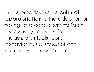In the broadest sense **cultural appropriation** is the adoption or taking of specific elements (such as ideas, symbols, artifacts, images, art, rituals, icons, behavior, music, styles) of one culture by another culture.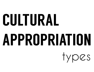# CULTURAL APPROPRIATION

types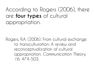According to Rogers (2006), there are **four types** of cultural appropriation.

Rogers, R.A. (2006). From cultural exchange to transculturation: A review and reconceptualization of cultural appropriation. *Communication Theory, 16:* 474-503*.*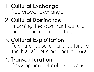#### 1. **Cultural Exchange**  Reciprocal exchange

#### 2. **Cultural Dominance**  Imposing the dominant culture on a subordinate culture

#### 3. **Cultural Exploitation**  Taking of subordinate culture for the benefit of dominant culture

#### 4. **Transculturation** Development of cultural hybrids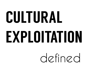# CULTURAL EXPLOITATION

defined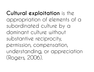**Cultural exploitation** is the appropriation of elements of a subordinated culture by a dominant culture without substantive reciprocity, permission, compensation, understanding, or appreciation (Rogers, 2006).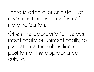There is often a prior history of discrimination or some form of marginalization.

Often the appropriation serves, intentionally or unintentionally, to perpetuate the subordinate position of the appropriated culture.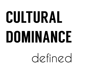# CULTURAL DOMINANCE

defined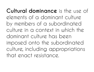**Cultural dominance** is the use of elements of a dominant culture by members of a subordinated culture in a context in which the dominant culture has been imposed onto the subordinated culture, including appropriations that enact resistance.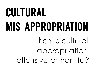### CULTURAL MIS-APPROPRIATION when is cultural appropriation offensive or harmful?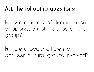#### **Ask the following questions:**

Is there a history of discrimination or oppression, of the subordinate group?

Is there a power differential between cultural groups involved?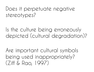#### Does it perpetuate negative stereotypes?

Is the culture being erroneously depicted (cultural degradation)?

Are important cultural symbols being used inappropriately? (Ziff & Rao, 1997)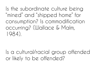Is the subordinate culture being "mined" and "shipped home" for consumption? Is commodification occurring? (Wallace & Malm, 1984).

Is a cultural/racial group offended or likely to be offended?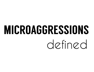## MICROAGGRESSIONS defined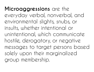**Microaggressions** are the everyday verbal, nonverbal, and environmental slights, snubs, or insults, whether intentional or unintentional, which communicate hostile, derogatory, or negative messages to target persons based solely upon their marginalized group membership.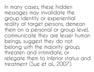In many cases, these hidden messages may invalidate the group identity or experiential reality of target persons, demean them on a personal or group level, communicate they are lesser human beings, suggest they do not belong with the majority group, threaten and intimidate, or relegate them to inferior status and treatment (Sue et al., 2007).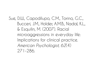Sue, D.W., Capodilupo, C.M., Torino, G.C., Bucceri, J.M., Holder, A.M.B., Nadal, K.L., & Esquilin, M. (2007). Racial microaggressions in everyday life: Implications for clinical practice. *American Psychologist, 62*(4) 271-286.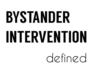# BYSTANDER INTERVENTION

defined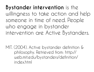**Bystander intervention** is the willingness to take action and help someone in time of need. People who engage in bystander intervention are Active Bystanders.

MIT. (2004). Active bystander definition & philosophy. Retrieved from: http:// web.mit.edu/bystanders/definition/ index.html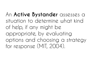An **Active Bystander** assesses a situation to determine what kind of help, if any might be appropriate, by evaluating options and choosing a strategy for response (MIT, 2004).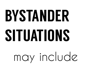# BYSTANDER SITUATIONS

## may include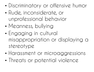- Discriminatory or offensive humor
- Rude, inconsiderate, or unprofessional behavior
- Meanness, bullying
- Engaging in cultural misappropriation or displaying a stereotype
- Harassment or microaggressions
- Threats or potential violence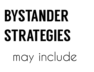# BYSTANDER STRATEGIES

## may include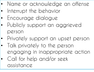- Name or acknowledge an offense
- Interrupt the behavior
- Encourage dialogue
- Publicly support an aggrieved person
- Privately support an upset person
- Talk privately to the person engaging in inappropriate action
- Call for help and/or seek assistance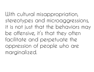With cultural misappropriation, stereotypes and microaggressions, it is not just that the behaviors may be offensive, it's that they often facilitate and perpetuate the oppression of people who are marginalized.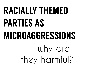## RACIALLY THEMED PARTIES AS MICROAGGRESSIONS why are they harmful?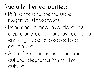#### **Racially themed parties:**

- Reinforce and perpetuate negative stereotypes.
- Dehumanize and invalidate the appropriated culture by reducing entire groups of people to a caricature.
- Allow for commodification and cultural degradation of the  $\bigcap$ ulture.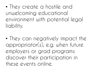• They create a hostile and unwelcoming educational environment with potential legal liability.

• They can negatively impact the appropriator(s), e.g. when future employers or grad programs discover their participation in these events online.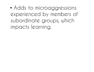• Adds to microaggressions experienced by members of subordinate groups, which impacts learning.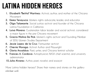### LATINA HIDDEN HEROES

- **1. Elizabeth "Betita" Martinez**: Activist, author, and mother of the Chicano Movement
- **2. Emma Tenayuca**: Workers rights advocate, leader, and educator
- **3. Olga Talamante**: Social justice activist and founder of the Chicana Latina Foundation in California
- **4. Luisa Moreno**: Guatemalan labor leader and social activist; considered a major figure in the pre-Chicano movement
- **5. Gracia Molina De Pick**: Women's rights activist and Founding Member of SDSU Women Studies Department
- **6. Jessie Lopez de la Cruz**: Farmworker activist
- **7. Cherrie Moraga**: Activist Author and Playwright
- **8. Gloria Anzaldua**: Poet, writer, and Chicana feminist scholar
- **9. Frances A. Cordova**: Astrophysicist, NASA chief scientist, and university administrator
- **10.Julia Alvarez**: Author, poet, novelist, and essayist

More Latina hidden heroes? Share their names and stories on the gallery pledge wall.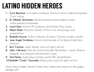### LATIN0 HIDDEN HEROES

- **1. Cruz Reynoso**: Civil rights champion and first Latino California Supreme Court Justice
- **2. Dr. Alfredo Quinones**: World-renowned neurosurgeon, former undocumented farmworker
- **3. Junot Diaz**: Author, MIT professor, and Pulitzer Prize winner
- **4. Albert Baez**: Physicist, inventor of the X-ray microscope, and humanitarian
- **5. Rodolfo Acuna**: Author, Professor of history, Chicano Studies scholar
- **6. Jose Angel Gutiérrez**: Activist and founder of La Raza Unida Party (Activist)
- **7. Burt Corona**: Labor leader and civil rights activist
- **8. John J Herrera**: Attorney Activist, brought Hernandez v Texas, Minerva Delgado and shipyard discrimination cases
- **9. Tom Flores**: Super bowl winning coach, NFL Quarterback

**10.Rudolfo "Corky" Gonzales**: Boxer, poet, and civil rights activist

More Latino hidden heroes? Share their names and stories on the gallery pledge wall.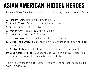### ASIAN AMERICAN HIDDEN HEROES

- **1. Philip Vera Cruz**: Filipino American labor leader, contemporary of César Chávez
- **2. Vincent Chin**: Hate crime victim and activist
- **3. Ronald Takaki**: Ethnic studies scholar and professor
- **4. Roman Gabriel**: NFL Quarterback
- **5. Steven Chu**: Nobel Prize winning scientist
- **6. Justin Lin**: Movie and TV Director
- **7. George Takei**: Famous actor and LGBTQ advocate
- **8. Ellison Shoji Onizuka**: Astronaut, first Asian American astronaut to reach space
- **9. Dr. Wen Ho Lee**: Scientist, falsely accused of being a spy for China
- **10. Jose Antonio Vargas**: Undocumented American activist, Pulitzer Prize winner, director and actor for "Documented" film

More Asian American hidden heroes? Share their names and stories on the gallery pledge wall.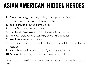### ASIAN AMERICAN HIDDEN HEROES

- **1. Grace Lee Boggs**: Activist, author, philosopher and feminist
- **2. Maxine Hong Kingston**: Author and writer
- **3. Yuri Kochiyama**: Human rights activist
- **4. Helen Zia**: Journalist and scholar
- **5. Tani Cantil-Sakauye**: California Supreme Court Justice
- **6. Thuy Vu**: Award winning journalist, anchor, and reporter
- **7. Amy Tam**: Novelist and author
- **8. Patsy Mink**: Congresswoman from Hawaii, Presidential Medal of Freedom recipient
- **9. Michelle Kwan**: Most decorated figure skater in the U.S.
- **10.Angela Oh**: Attorney, teacher, and community leader

Other hidden heroes? Share their names and stories on the gallery pledge wall.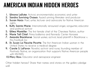### AMERICAN INDIAN HIDDEN HEROES

- **1. Winona LaDuke**: Activist, environmentalist, economist, and writer
- **2. Sandra Sunrising Osawa**: Award winning filmmaker and producer
- **3. Suzan Harjo**: Poet, writer, lecturer and advocate for Native American rights
- **4. Buffy Sainte-Marie**: Internationally renowned singer, songwriter, educator and political activist
- **5. Wilma Mankiller**: The first female chief of the Cherokee Nation, author
- **6. Marie Tall Chief**: Prima ballerina and Kennedy Center Honoree
- **7. Amanda Blackhorse**: Social worker, activist, lead plaintiff in Blackhorse v. Pro-Football, Inc
- **8. Dr. Susan La Flesche Picotte**: The first American Indian woman in the United States to receive a medical degree
- **9. Carole S. LaFavor**: Novelist, activist and nurse, founding member of Positively Native, an organization that supports Native American people with HIV/AIDS.
- **10.Mary Ross**: Educator and aerospace engineer

Other hidden heroes? Share their names and stories on the gallery pledge wall.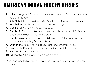### AMERICAN INDIAN HIDDEN HEROES

- **1. John Herrington** (Chickasaw Nation): Astronaut, the first Native American to walk in space
- **2. Billy Mills**: Olympic gold medalist, Presidential Citizens Medal recipient
- **3. Vine Deloria Jr.**: Activist, writer, historian, and lawyer
- **4. Charlie Hill**: Comedian, actor, and writer
- **5. Charles D. Curtis**: The first Native American elected to the U.S. Senate and Vice President of the United States
- **6. Charles Alexander Eastman aka Ohiyesa**: Physician, writer, reformer, helped found the Boy Scouts of America
- **7. Oren Lyons**: Activist for indigenous and environmental justice
- **8. Leonard Peltier**: Artist, writer, and an indigenous rights activist
- **9. Sherman Alexie:** Writer and poet
- **10.Jim Thorpe**: Athlete and Olympic gold medalist

Other American Indian heroes? Share their names and stories on the gallery pledge wall.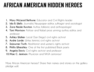### AFRICAN AMERICAN HIDDEN HEROES

- **1. Mary McLeod Bethune**: Educator and Civil Rights leader
- **2. Ida B. Wells**: Journalist, Newspaper editor, suffragist and sociologist
- **3. Zora Neale Hurston**: Author, folklorist, and anthropologist
- **4. Toni Morrison**: Pulitzer and Nobel prize winning author, editor, and professor
- **5. Ashley Walker**: Local (San Diego) civil rights activist
- **6. Audre Lorde**: Writer, feminist, civil rights activist
- **7. Sojourner Truth**: Abolitionist and women's rights activist
- **8. Phillis Wheatley**: One of the first published Black poets
- **9. Angela Davis**: Civil rights activist and professor
- **10.Mae C. Jemison**: Physician and NASA astronaut

More African American heroes? Share their names and stories on the gallery pledge wall.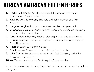### AFRICAN AMERICAN HIDDEN HEROES

- **1. Martin R. Delaney**: Abolitionist, journalist, physician, considered grandfather of Black Nationalism.
- **2. W.E.B. Du Bois**: Sociologist, historian, civil rights activist, and Pan-Africanist
- **3. Langston Hughes**: Poet, social activist, novelist, and playwright
- **4. Dr. Charles L. Drew**: Surgeon, medical researcher, pioneered improved techniques for blood storage.
- **5. James Baldwin**: Novelist, essayist, playwright, poet and social critic
- **6. Marcus Garvey**: Publisher, journalist, entrepreneur, and proponent of Black Nationalism
- **7. Medgar Evers**: Civil rights activist
- **8. Paul Robeson**: Singer, actor, and civil rights advocate
- **9. John Carlos**: Bronze medal winner in the1968 Olympics, civil rights advocate, and coach
- **10.Nat Turner**: Leader of the Southampton Slave rebellion

More African American heroes? Share their names and stories on the gallery pledge wall.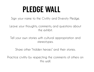### PLEDGE WALL

Sign your name to the Civility and Diversity Pledge.

Leave your thoughts, comments, and questions about the exhibit.

Tell your own stories with cultural appropriation and stereotypes.

Share other "hidden heroes" and their stories.

Practice civility by respecting the comments of others on this wall.